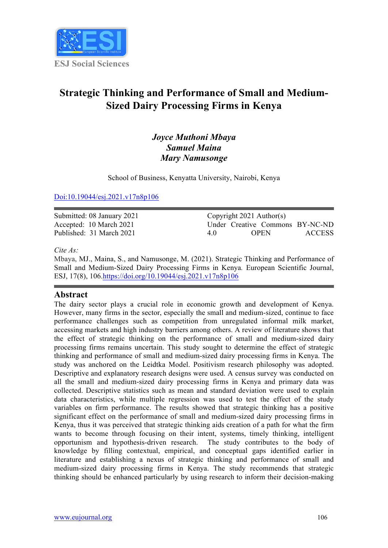

## **Strategic Thinking and Performance of Small and Medium-Sized Dairy Processing Firms in Kenya**

## *Joyce Muthoni Mbaya Samuel Maina Mary Namusonge*

School of Business, Kenyatta University, Nairobi, Kenya

Doi:10.19044/esj.2021.v17n8p106

Submitted: 08 January 2021 Accepted: 10 March 2021 Published: 31 March 2021

Copyright 2021 Author(s) Under Creative Commons BY-NC-ND 4.0 OPEN ACCESS

*Cite As:*

Mbaya, MJ., Maina, S., and Namusonge, M. (2021). Strategic Thinking and Performance of Small and Medium-Sized Dairy Processing Firms in Kenya*.* European Scientific Journal, ESJ, 17(8), 106.https://doi.org/10.19044/esj.2021.v17n8p106

#### **Abstract**

The dairy sector plays a crucial role in economic growth and development of Kenya. However, many firms in the sector, especially the small and medium-sized, continue to face performance challenges such as competition from unregulated informal milk market, accessing markets and high industry barriers among others. A review of literature shows that the effect of strategic thinking on the performance of small and medium-sized dairy processing firms remains uncertain. This study sought to determine the effect of strategic thinking and performance of small and medium-sized dairy processing firms in Kenya. The study was anchored on the Leidtka Model. Positivism research philosophy was adopted. Descriptive and explanatory research designs were used. A census survey was conducted on all the small and medium-sized dairy processing firms in Kenya and primary data was collected. Descriptive statistics such as mean and standard deviation were used to explain data characteristics, while multiple regression was used to test the effect of the study variables on firm performance. The results showed that strategic thinking has a positive significant effect on the performance of small and medium-sized dairy processing firms in Kenya, thus it was perceived that strategic thinking aids creation of a path for what the firm wants to become through focusing on their intent, systems, timely thinking, intelligent opportunism and hypothesis-driven research. The study contributes to the body of knowledge by filling contextual, empirical, and conceptual gaps identified earlier in literature and establishing a nexus of strategic thinking and performance of small and medium-sized dairy processing firms in Kenya. The study recommends that strategic thinking should be enhanced particularly by using research to inform their decision-making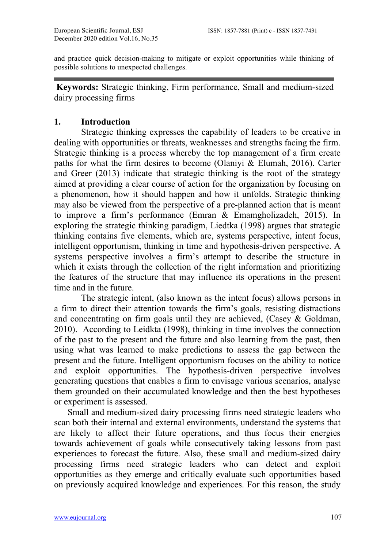and practice quick decision-making to mitigate or exploit opportunities while thinking of possible solutions to unexpected challenges.

**Keywords:** Strategic thinking, Firm performance, Small and medium-sized dairy processing firms

## **1. Introduction**

Strategic thinking expresses the capability of leaders to be creative in dealing with opportunities or threats, weaknesses and strengths facing the firm. Strategic thinking is a process whereby the top management of a firm create paths for what the firm desires to become (Olaniyi & Elumah, 2016). Carter and Greer (2013) indicate that strategic thinking is the root of the strategy aimed at providing a clear course of action for the organization by focusing on a phenomenon, how it should happen and how it unfolds. Strategic thinking may also be viewed from the perspective of a pre-planned action that is meant to improve a firm's performance (Emran & Emamgholizadeh, 2015). In exploring the strategic thinking paradigm, Liedtka (1998) argues that strategic thinking contains five elements, which are, systems perspective, intent focus, intelligent opportunism, thinking in time and hypothesis-driven perspective. A systems perspective involves a firm's attempt to describe the structure in which it exists through the collection of the right information and prioritizing the features of the structure that may influence its operations in the present time and in the future.

The strategic intent, (also known as the intent focus) allows persons in a firm to direct their attention towards the firm's goals, resisting distractions and concentrating on firm goals until they are achieved, (Casey & Goldman, 2010). According to Leidkta (1998), thinking in time involves the connection of the past to the present and the future and also learning from the past, then using what was learned to make predictions to assess the gap between the present and the future. Intelligent opportunism focuses on the ability to notice and exploit opportunities. The hypothesis-driven perspective involves generating questions that enables a firm to envisage various scenarios, analyse them grounded on their accumulated knowledge and then the best hypotheses or experiment is assessed.

Small and medium-sized dairy processing firms need strategic leaders who scan both their internal and external environments, understand the systems that are likely to affect their future operations, and thus focus their energies towards achievement of goals while consecutively taking lessons from past experiences to forecast the future. Also, these small and medium-sized dairy processing firms need strategic leaders who can detect and exploit opportunities as they emerge and critically evaluate such opportunities based on previously acquired knowledge and experiences. For this reason, the study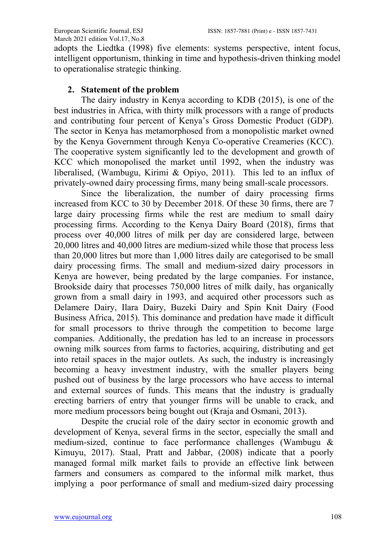adopts the Liedtka (1998) five elements: systems perspective, intent focus, intelligent opportunism, thinking in time and hypothesis-driven thinking model to operationalise strategic thinking.

## **2. Statement of the problem**

The dairy industry in Kenya according to KDB (2015), is one of the best industries in Africa, with thirty milk processors with a range of products and contributing four percent of Kenya's Gross Domestic Product (GDP). The sector in Kenya has metamorphosed from a monopolistic market owned by the Kenya Government through Kenya Co-operative Creameries (KCC). The cooperative system significantly led to the development and growth of KCC which monopolised the market until 1992, when the industry was liberalised, (Wambugu, Kirimi & Opiyo, 2011). This led to an influx of privately-owned dairy processing firms, many being small-scale processors.

Since the liberalization, the number of dairy processing firms increased from KCC to 30 by December 2018. Of these 30 firms, there are 7 large dairy processing firms while the rest are medium to small dairy processing firms. According to the Kenya Dairy Board (2018), firms that process over 40,000 litres of milk per day are considered large, between 20,000 litres and 40,000 litres are medium-sized while those that process less than 20,000 litres but more than 1,000 litres daily are categorised to be small dairy processing firms. The small and medium-sized dairy processors in Kenya are however, being predated by the large companies. For instance, Brookside dairy that processes 750,000 litres of milk daily, has organically grown from a small dairy in 1993, and acquired other processors such as Delamere Dairy, Ilara Dairy, Buzeki Dairy and Spin Knit Dairy (Food Business Africa, 2015). This dominance and predation have made it difficult for small processors to thrive through the competition to become large companies. Additionally, the predation has led to an increase in processors owning milk sources from farms to factories, acquiring, distributing and get into retail spaces in the major outlets. As such, the industry is increasingly becoming a heavy investment industry, with the smaller players being pushed out of business by the large processors who have access to internal and external sources of funds. This means that the industry is gradually erecting barriers of entry that younger firms will be unable to crack, and more medium processors being bought out (Kraja and Osmani, 2013).

Despite the crucial role of the dairy sector in economic growth and development of Kenya, several firms in the sector, especially the small and medium-sized, continue to face performance challenges (Wambugu & Kimuyu, 2017). Staal, Pratt and Jabbar, (2008) indicate that a poorly managed formal milk market fails to provide an effective link between farmers and consumers as compared to the informal milk market, thus implying a poor performance of small and medium-sized dairy processing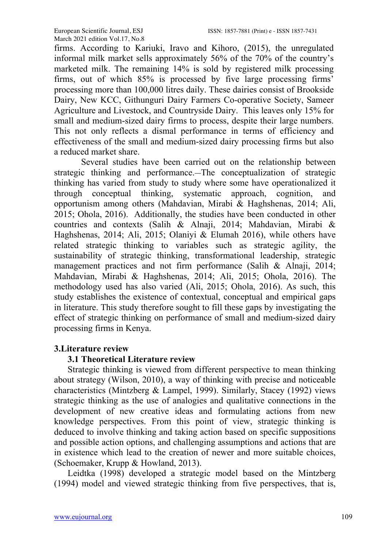firms. According to Kariuki, Iravo and Kihoro, (2015), the unregulated informal milk market sells approximately 56% of the 70% of the country's marketed milk. The remaining 14% is sold by registered milk processing firms, out of which 85% is processed by five large processing firms' processing more than 100,000 litres daily. These dairies consist of Brookside Dairy, New KCC, Githunguri Dairy Farmers Co-operative Society, Sameer Agriculture and Livestock, and Countryside Dairy. This leaves only 15% for small and medium-sized dairy firms to process, despite their large numbers. This not only reflects a dismal performance in terms of efficiency and effectiveness of the small and medium-sized dairy processing firms but also a reduced market share.

Several studies have been carried out on the relationship between strategic thinking and performance. The conceptualization of strategic thinking has varied from study to study where some have operationalized it through conceptual thinking, systematic approach, cognition, and opportunism among others (Mahdavian, Mirabi & Haghshenas, 2014; Ali, 2015; Ohola, 2016). Additionally, the studies have been conducted in other countries and contexts (Salih & Alnaji, 2014; Mahdavian, Mirabi & Haghshenas, 2014; Ali, 2015; Olaniyi & Elumah 2016), while others have related strategic thinking to variables such as strategic agility, the sustainability of strategic thinking, transformational leadership, strategic management practices and not firm performance (Salih & Alnaji, 2014; Mahdavian, Mirabi & Haghshenas, 2014; Ali, 2015; Ohola, 2016). The methodology used has also varied (Ali, 2015; Ohola, 2016). As such, this study establishes the existence of contextual, conceptual and empirical gaps in literature. This study therefore sought to fill these gaps by investigating the effect of strategic thinking on performance of small and medium-sized dairy processing firms in Kenya.

#### **3.Literature review**

#### **3.1 Theoretical Literature review**

Strategic thinking is viewed from different perspective to mean thinking about strategy (Wilson, 2010), a way of thinking with precise and noticeable characteristics (Mintzberg & Lampel, 1999). Similarly, Stacey (1992) views strategic thinking as the use of analogies and qualitative connections in the development of new creative ideas and formulating actions from new knowledge perspectives. From this point of view, strategic thinking is deduced to involve thinking and taking action based on specific suppositions and possible action options, and challenging assumptions and actions that are in existence which lead to the creation of newer and more suitable choices, (Schoemaker, Krupp & Howland, 2013).

Leidtka (1998) developed a strategic model based on the Mintzberg (1994) model and viewed strategic thinking from five perspectives, that is,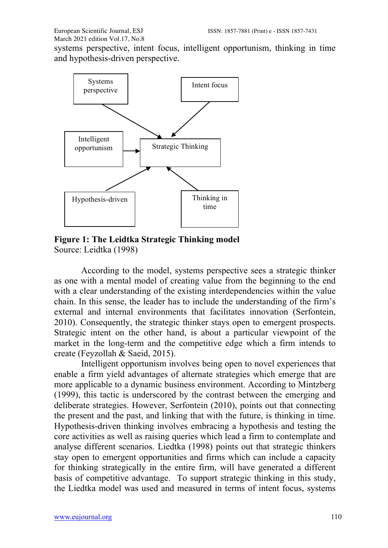systems perspective, intent focus, intelligent opportunism, thinking in time and hypothesis-driven perspective.



**Figure 1: The Leidtka Strategic Thinking model** Source: Leidtka (1998)

According to the model, systems perspective sees a strategic thinker as one with a mental model of creating value from the beginning to the end with a clear understanding of the existing interdependencies within the value chain. In this sense, the leader has to include the understanding of the firm's external and internal environments that facilitates innovation (Serfontein, 2010). Consequently, the strategic thinker stays open to emergent prospects. Strategic intent on the other hand, is about a particular viewpoint of the market in the long-term and the competitive edge which a firm intends to create (Feyzollah & Saeid, 2015).

Intelligent opportunism involves being open to novel experiences that enable a firm yield advantages of alternate strategies which emerge that are more applicable to a dynamic business environment. According to Mintzberg (1999), this tactic is underscored by the contrast between the emerging and deliberate strategies. However, Serfontein (2010), points out that connecting the present and the past, and linking that with the future, is thinking in time. Hypothesis-driven thinking involves embracing a hypothesis and testing the core activities as well as raising queries which lead a firm to contemplate and analyse different scenarios. Liedtka (1998) points out that strategic thinkers stay open to emergent opportunities and firms which can include a capacity for thinking strategically in the entire firm, will have generated a different basis of competitive advantage. To support strategic thinking in this study, the Liedtka model was used and measured in terms of intent focus, systems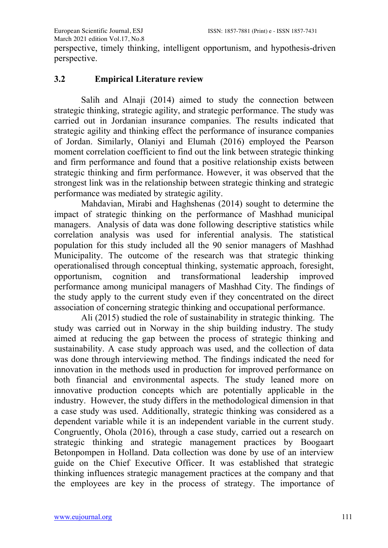perspective, timely thinking, intelligent opportunism, and hypothesis-driven perspective.

## **3.2 Empirical Literature review**

Salih and Alnaji (2014) aimed to study the connection between strategic thinking, strategic agility, and strategic performance. The study was carried out in Jordanian insurance companies. The results indicated that strategic agility and thinking effect the performance of insurance companies of Jordan. Similarly, Olaniyi and Elumah (2016) employed the Pearson moment correlation coefficient to find out the link between strategic thinking and firm performance and found that a positive relationship exists between strategic thinking and firm performance. However, it was observed that the strongest link was in the relationship between strategic thinking and strategic performance was mediated by strategic agility.

Mahdavian, Mirabi and Haghshenas (2014) sought to determine the impact of strategic thinking on the performance of Mashhad municipal managers. Analysis of data was done following descriptive statistics while correlation analysis was used for inferential analysis. The statistical population for this study included all the 90 senior managers of Mashhad Municipality. The outcome of the research was that strategic thinking operationalised through conceptual thinking, systematic approach, foresight, opportunism, cognition and transformational leadership improved performance among municipal managers of Mashhad City. The findings of the study apply to the current study even if they concentrated on the direct association of concerning strategic thinking and occupational performance.

Ali (2015) studied the role of sustainability in strategic thinking. The study was carried out in Norway in the ship building industry. The study aimed at reducing the gap between the process of strategic thinking and sustainability. A case study approach was used, and the collection of data was done through interviewing method. The findings indicated the need for innovation in the methods used in production for improved performance on both financial and environmental aspects. The study leaned more on innovative production concepts which are potentially applicable in the industry. However, the study differs in the methodological dimension in that a case study was used. Additionally, strategic thinking was considered as a dependent variable while it is an independent variable in the current study. Congruently, Ohola (2016), through a case study, carried out a research on strategic thinking and strategic management practices by Boogaart Betonpompen in Holland. Data collection was done by use of an interview guide on the Chief Executive Officer. It was established that strategic thinking influences strategic management practices at the company and that the employees are key in the process of strategy. The importance of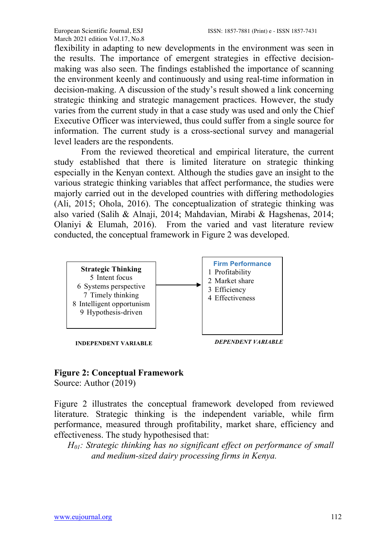flexibility in adapting to new developments in the environment was seen in the results. The importance of emergent strategies in effective decisionmaking was also seen. The findings established the importance of scanning the environment keenly and continuously and using real-time information in decision-making. A discussion of the study's result showed a link concerning strategic thinking and strategic management practices. However, the study varies from the current study in that a case study was used and only the Chief Executive Officer was interviewed, thus could suffer from a single source for information. The current study is a cross-sectional survey and managerial level leaders are the respondents.

From the reviewed theoretical and empirical literature, the current study established that there is limited literature on strategic thinking especially in the Kenyan context. Although the studies gave an insight to the various strategic thinking variables that affect performance, the studies were majorly carried out in the developed countries with differing methodologies (Ali, 2015; Ohola, 2016). The conceptualization of strategic thinking was also varied (Salih & Alnaji, 2014; Mahdavian, Mirabi & Hagshenas, 2014; Olaniyi & Elumah, 2016). From the varied and vast literature review conducted, the conceptual framework in Figure 2 was developed.



## **Figure 2: Conceptual Framework**

Source: Author (2019)

Figure 2 illustrates the conceptual framework developed from reviewed literature. Strategic thinking is the independent variable, while firm performance, measured through profitability, market share, efficiency and effectiveness. The study hypothesised that:

*H01: Strategic thinking has no significant effect on performance of small and medium-sized dairy processing firms in Kenya.*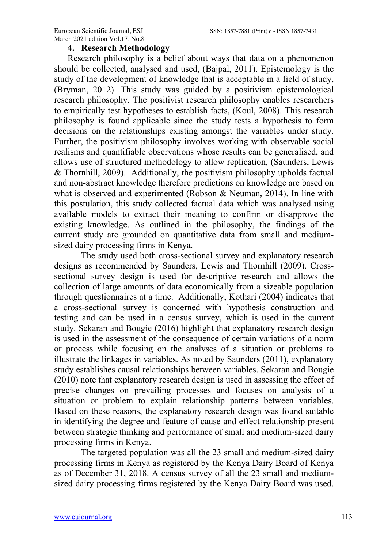#### **4. Research Methodology**

Research philosophy is a belief about ways that data on a phenomenon should be collected, analysed and used, (Bajpal, 2011). Epistemology is the study of the development of knowledge that is acceptable in a field of study, (Bryman, 2012). This study was guided by a positivism epistemological research philosophy. The positivist research philosophy enables researchers to empirically test hypotheses to establish facts, (Koul, 2008). This research philosophy is found applicable since the study tests a hypothesis to form decisions on the relationships existing amongst the variables under study. Further, the positivism philosophy involves working with observable social realisms and quantifiable observations whose results can be generalised, and allows use of structured methodology to allow replication, (Saunders, Lewis  $&$  Thornhill, 2009). Additionally, the positivism philosophy upholds factual and non-abstract knowledge therefore predictions on knowledge are based on what is observed and experimented (Robson & Neuman, 2014). In line with this postulation, this study collected factual data which was analysed using available models to extract their meaning to confirm or disapprove the existing knowledge. As outlined in the philosophy, the findings of the current study are grounded on quantitative data from small and mediumsized dairy processing firms in Kenya.

The study used both cross-sectional survey and explanatory research designs as recommended by Saunders, Lewis and Thornhill (2009). Crosssectional survey design is used for descriptive research and allows the collection of large amounts of data economically from a sizeable population through questionnaires at a time. Additionally, Kothari (2004) indicates that a cross-sectional survey is concerned with hypothesis construction and testing and can be used in a census survey, which is used in the current study. Sekaran and Bougie (2016) highlight that explanatory research design is used in the assessment of the consequence of certain variations of a norm or process while focusing on the analyses of a situation or problems to illustrate the linkages in variables. As noted by Saunders (2011), explanatory study establishes causal relationships between variables. Sekaran and Bougie (2010) note that explanatory research design is used in assessing the effect of precise changes on prevailing processes and focuses on analysis of a situation or problem to explain relationship patterns between variables. Based on these reasons, the explanatory research design was found suitable in identifying the degree and feature of cause and effect relationship present between strategic thinking and performance of small and medium-sized dairy processing firms in Kenya.

The targeted population was all the 23 small and medium-sized dairy processing firms in Kenya as registered by the Kenya Dairy Board of Kenya as of December 31, 2018. A census survey of all the 23 small and mediumsized dairy processing firms registered by the Kenya Dairy Board was used.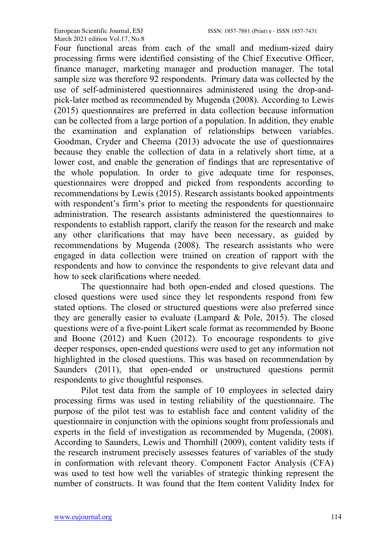Four functional areas from each of the small and medium-sized dairy processing firms were identified consisting of the Chief Executive Officer, finance manager, marketing manager and production manager. The total sample size was therefore 92 respondents. Primary data was collected by the use of self-administered questionnaires administered using the drop-andpick-later method as recommended by Mugenda (2008). According to Lewis (2015) questionnaires are preferred in data collection because information can be collected from a large portion of a population. In addition, they enable the examination and explanation of relationships between variables. Goodman, Cryder and Cheema (2013) advocate the use of questionnaires because they enable the collection of data in a relatively short time, at a lower cost, and enable the generation of findings that are representative of the whole population. In order to give adequate time for responses, questionnaires were dropped and picked from respondents according to recommendations by Lewis (2015). Research assistants booked appointments with respondent's firm's prior to meeting the respondents for questionnaire administration. The research assistants administered the questionnaires to respondents to establish rapport, clarify the reason for the research and make any other clarifications that may have been necessary, as guided by recommendations by Mugenda (2008). The research assistants who were engaged in data collection were trained on creation of rapport with the respondents and how to convince the respondents to give relevant data and how to seek clarifications where needed.

The questionnaire had both open-ended and closed questions. The closed questions were used since they let respondents respond from few stated options. The closed or structured questions were also preferred since they are generally easier to evaluate (Lampard & Pole, 2015). The closed questions were of a five-point Likert scale format as recommended by Boone and Boone (2012) and Kuen (2012). To encourage respondents to give deeper responses, open-ended questions were used to get any information not highlighted in the closed questions. This was based on recommendation by Saunders (2011), that open-ended or unstructured questions permit respondents to give thoughtful responses.

Pilot test data from the sample of 10 employees in selected dairy processing firms was used in testing reliability of the questionnaire. The purpose of the pilot test was to establish face and content validity of the questionnaire in conjunction with the opinions sought from professionals and experts in the field of investigation as recommended by Mugenda, (2008). According to Saunders, Lewis and Thornhill (2009), content validity tests if the research instrument precisely assesses features of variables of the study in conformation with relevant theory. Component Factor Analysis (CFA) was used to test how well the variables of strategic thinking represent the number of constructs. It was found that the Item content Validity Index for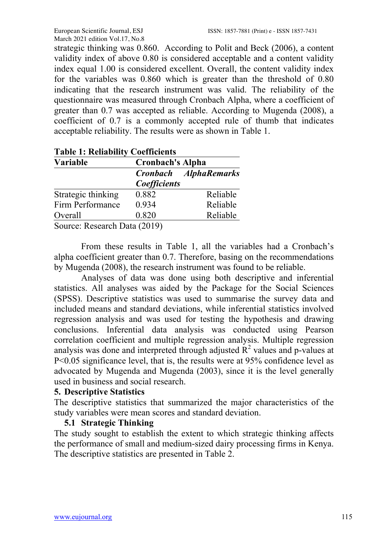strategic thinking was 0.860. According to Polit and Beck (2006), a content validity index of above 0.80 is considered acceptable and a content validity index equal 1.00 is considered excellent. Overall, the content validity index for the variables was 0.860 which is greater than the threshold of 0.80 indicating that the research instrument was valid. The reliability of the questionnaire was measured through Cronbach Alpha, where a coefficient of greater than 0.7 was accepted as reliable. According to Mugenda (2008), a coefficient of 0.7 is a commonly accepted rule of thumb that indicates acceptable reliability. The results were as shown in Table 1.

| Variable           | <b>Cronbach's Alpha</b> |                              |  |  |
|--------------------|-------------------------|------------------------------|--|--|
|                    |                         | <b>Cronbach AlphaRemarks</b> |  |  |
|                    | Coefficients            |                              |  |  |
| Strategic thinking | 0.882                   | Reliable                     |  |  |
| Firm Performance   | 0.934                   | Reliable                     |  |  |
| Overall            | 0.820                   | Reliable                     |  |  |

## **Table 1: Reliability Coefficients**

From these results in Table 1, all the variables had a Cronbach's alpha coefficient greater than 0.7. Therefore, basing on the recommendations by Mugenda (2008), the research instrument was found to be reliable.

Analyses of data was done using both descriptive and inferential statistics. All analyses was aided by the Package for the Social Sciences (SPSS). Descriptive statistics was used to summarise the survey data and included means and standard deviations, while inferential statistics involved regression analysis and was used for testing the hypothesis and drawing conclusions. Inferential data analysis was conducted using Pearson correlation coefficient and multiple regression analysis. Multiple regression analysis was done and interpreted through adjusted  $\mathbb{R}^2$  values and p-values at P<0.05 significance level, that is, the results were at 95% confidence level as advocated by Mugenda and Mugenda (2003), since it is the level generally used in business and social research.

## **5. Descriptive Statistics**

The descriptive statistics that summarized the major characteristics of the study variables were mean scores and standard deviation.

## **5.1 Strategic Thinking**

The study sought to establish the extent to which strategic thinking affects the performance of small and medium-sized dairy processing firms in Kenya. The descriptive statistics are presented in Table 2.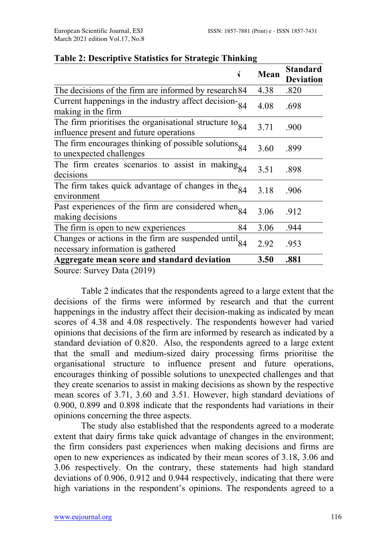|                                                                                                         | Mean | <b>Standard</b><br><b>Deviation</b> |
|---------------------------------------------------------------------------------------------------------|------|-------------------------------------|
| The decisions of the firm are informed by research 84                                                   | 4.38 | .820                                |
| Current happenings in the industry affect decision- $84$<br>making in the firm                          | 4.08 | .698                                |
| The firm prioritises the organisational structure to $_{84}$<br>influence present and future operations | 3.71 | .900                                |
| The firm encourages thinking of possible solutions $_{84}$<br>to unexpected challenges                  | 3.60 | .899                                |
| The firm creates scenarios to assist in making $_{84}$<br>decisions                                     | 3.51 | .898                                |
| The firm takes quick advantage of changes in the $_{84}$<br>environment                                 | 3.18 | .906                                |
| Past experiences of the firm are considered when $_{84}$<br>making decisions                            | 3.06 | .912                                |
| The firm is open to new experiences<br>84                                                               | 3.06 | .944                                |
| Changes or actions in the firm are suspended until $_{84}$<br>necessary information is gathered         | 2.92 | .953                                |
| Aggregate mean score and standard deviation                                                             | 3.50 | .881                                |
| Source: Survey Data (2019)                                                                              |      |                                     |

#### **Table 2: Descriptive Statistics for Strategic Thinking**

Table 2 indicates that the respondents agreed to a large extent that the decisions of the firms were informed by research and that the current happenings in the industry affect their decision-making as indicated by mean scores of 4.38 and 4.08 respectively. The respondents however had varied opinions that decisions of the firm are informed by research as indicated by a standard deviation of 0.820. Also, the respondents agreed to a large extent that the small and medium-sized dairy processing firms prioritise the organisational structure to influence present and future operations, encourages thinking of possible solutions to unexpected challenges and that they create scenarios to assist in making decisions as shown by the respective mean scores of 3.71, 3.60 and 3.51. However, high standard deviations of 0.900, 0.899 and 0.898 indicate that the respondents had variations in their opinions concerning the three aspects.

The study also established that the respondents agreed to a moderate extent that dairy firms take quick advantage of changes in the environment; the firm considers past experiences when making decisions and firms are open to new experiences as indicated by their mean scores of 3.18, 3.06 and 3.06 respectively. On the contrary, these statements had high standard deviations of 0.906, 0.912 and 0.944 respectively, indicating that there were high variations in the respondent's opinions. The respondents agreed to a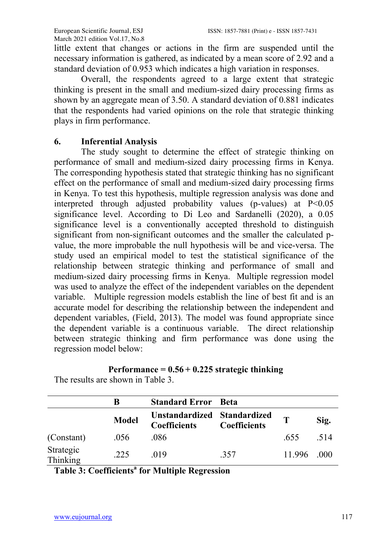little extent that changes or actions in the firm are suspended until the necessary information is gathered, as indicated by a mean score of 2.92 and a standard deviation of 0.953 which indicates a high variation in responses.

Overall, the respondents agreed to a large extent that strategic thinking is present in the small and medium-sized dairy processing firms as shown by an aggregate mean of 3.50. A standard deviation of 0.881 indicates that the respondents had varied opinions on the role that strategic thinking plays in firm performance.

## **6. Inferential Analysis**

The study sought to determine the effect of strategic thinking on performance of small and medium-sized dairy processing firms in Kenya. The corresponding hypothesis stated that strategic thinking has no significant effect on the performance of small and medium-sized dairy processing firms in Kenya. To test this hypothesis, multiple regression analysis was done and interpreted through adjusted probability values (p-values) at P<0.05 significance level. According to Di Leo and Sardanelli (2020), a 0.05 significance level is a conventionally accepted threshold to distinguish significant from non-significant outcomes and the smaller the calculated pvalue, the more improbable the null hypothesis will be and vice-versa. The study used an empirical model to test the statistical significance of the relationship between strategic thinking and performance of small and medium-sized dairy processing firms in Kenya. Multiple regression model was used to analyze the effect of the independent variables on the dependent variable. Multiple regression models establish the line of best fit and is an accurate model for describing the relationship between the independent and dependent variables, (Field, 2013). The model was found appropriate since the dependent variable is a continuous variable. The direct relationship between strategic thinking and firm performance was done using the regression model below:

## **Performance = 0.56 + 0.225 strategic thinking**

|                              |              | <b>Standard Error</b> Beta                         |                     |             |      |
|------------------------------|--------------|----------------------------------------------------|---------------------|-------------|------|
|                              | <b>Model</b> | Unstandardized Standardized<br><b>Coefficients</b> | <b>Coefficients</b> | т           | Sig. |
| (Constant)                   | .056         | .086                                               |                     | .655        | -514 |
| Strategic<br><b>Thinking</b> | 225          | 019                                                | .357                | 11.996 .000 |      |

The results are shown in Table 3.

**Table 3: Coefficients<sup>a</sup> for Multiple Regression**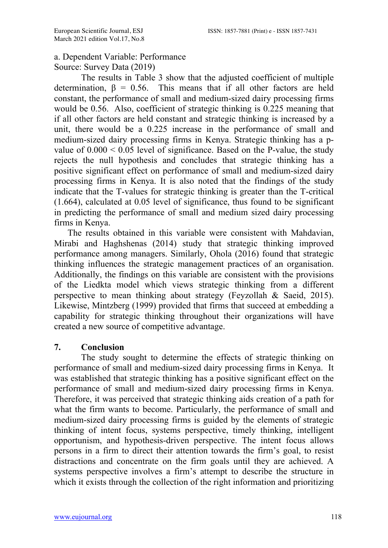#### a. Dependent Variable: Performance Source: Survey Data (2019)

The results in Table 3 show that the adjusted coefficient of multiple determination,  $\beta = 0.56$ . This means that if all other factors are held constant, the performance of small and medium-sized dairy processing firms would be 0.56. Also, coefficient of strategic thinking is 0.225 meaning that if all other factors are held constant and strategic thinking is increased by a unit, there would be a 0.225 increase in the performance of small and medium-sized dairy processing firms in Kenya. Strategic thinking has a pvalue of  $0.000 \le 0.05$  level of significance. Based on the P-value, the study rejects the null hypothesis and concludes that strategic thinking has a positive significant effect on performance of small and medium-sized dairy processing firms in Kenya. It is also noted that the findings of the study indicate that the T-values for strategic thinking is greater than the T-critical (1.664), calculated at 0.05 level of significance, thus found to be significant in predicting the performance of small and medium sized dairy processing firms in Kenya.

The results obtained in this variable were consistent with Mahdavian, Mirabi and Haghshenas (2014) study that strategic thinking improved performance among managers. Similarly, Ohola (2016) found that strategic thinking influences the strategic management practices of an organisation. Additionally, the findings on this variable are consistent with the provisions of the Liedkta model which views strategic thinking from a different perspective to mean thinking about strategy (Feyzollah & Saeid, 2015). Likewise, Mintzberg (1999) provided that firms that succeed at embedding a capability for strategic thinking throughout their organizations will have created a new source of competitive advantage.

## **7. Conclusion**

The study sought to determine the effects of strategic thinking on performance of small and medium-sized dairy processing firms in Kenya. It was established that strategic thinking has a positive significant effect on the performance of small and medium-sized dairy processing firms in Kenya. Therefore, it was perceived that strategic thinking aids creation of a path for what the firm wants to become. Particularly, the performance of small and medium-sized dairy processing firms is guided by the elements of strategic thinking of intent focus, systems perspective, timely thinking, intelligent opportunism, and hypothesis-driven perspective. The intent focus allows persons in a firm to direct their attention towards the firm's goal, to resist distractions and concentrate on the firm goals until they are achieved. A systems perspective involves a firm's attempt to describe the structure in which it exists through the collection of the right information and prioritizing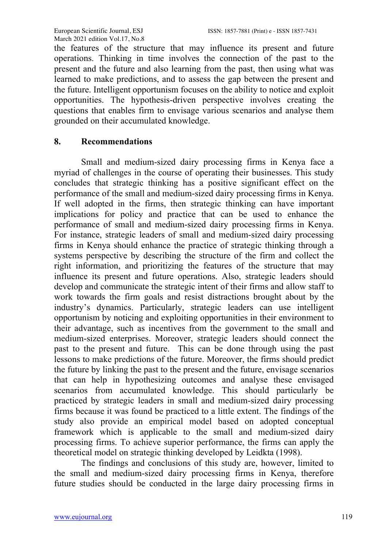the features of the structure that may influence its present and future operations. Thinking in time involves the connection of the past to the present and the future and also learning from the past, then using what was learned to make predictions, and to assess the gap between the present and the future. Intelligent opportunism focuses on the ability to notice and exploit opportunities. The hypothesis-driven perspective involves creating the questions that enables firm to envisage various scenarios and analyse them grounded on their accumulated knowledge.

#### **8. Recommendations**

Small and medium-sized dairy processing firms in Kenya face a myriad of challenges in the course of operating their businesses. This study concludes that strategic thinking has a positive significant effect on the performance of the small and medium-sized dairy processing firms in Kenya. If well adopted in the firms, then strategic thinking can have important implications for policy and practice that can be used to enhance the performance of small and medium-sized dairy processing firms in Kenya. For instance, strategic leaders of small and medium-sized dairy processing firms in Kenya should enhance the practice of strategic thinking through a systems perspective by describing the structure of the firm and collect the right information, and prioritizing the features of the structure that may influence its present and future operations. Also, strategic leaders should develop and communicate the strategic intent of their firms and allow staff to work towards the firm goals and resist distractions brought about by the industry's dynamics. Particularly, strategic leaders can use intelligent opportunism by noticing and exploiting opportunities in their environment to their advantage, such as incentives from the government to the small and medium-sized enterprises. Moreover, strategic leaders should connect the past to the present and future. This can be done through using the past lessons to make predictions of the future. Moreover, the firms should predict the future by linking the past to the present and the future, envisage scenarios that can help in hypothesizing outcomes and analyse these envisaged scenarios from accumulated knowledge. This should particularly be practiced by strategic leaders in small and medium-sized dairy processing firms because it was found be practiced to a little extent. The findings of the study also provide an empirical model based on adopted conceptual framework which is applicable to the small and medium-sized dairy processing firms. To achieve superior performance, the firms can apply the theoretical model on strategic thinking developed by Leidkta (1998).

The findings and conclusions of this study are, however, limited to the small and medium-sized dairy processing firms in Kenya, therefore future studies should be conducted in the large dairy processing firms in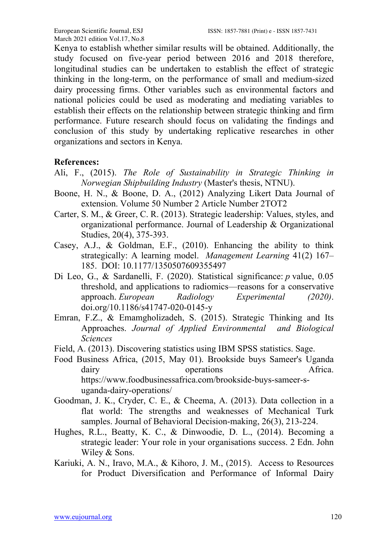Kenya to establish whether similar results will be obtained. Additionally, the study focused on five-year period between 2016 and 2018 therefore, longitudinal studies can be undertaken to establish the effect of strategic thinking in the long-term, on the performance of small and medium-sized dairy processing firms. Other variables such as environmental factors and national policies could be used as moderating and mediating variables to establish their effects on the relationship between strategic thinking and firm performance. Future research should focus on validating the findings and conclusion of this study by undertaking replicative researches in other organizations and sectors in Kenya.

#### **References:**

- Ali, F., (2015). *The Role of Sustainability in Strategic Thinking in Norwegian Shipbuilding Industry* (Master's thesis, NTNU).
- Boone, H. N., & Boone, D. A., (2012) Analyzing Likert Data Journal of extension. Volume 50 Number 2 Article Number 2TOT2
- Carter, S. M., & Greer, C. R. (2013). Strategic leadership: Values, styles, and organizational performance. Journal of Leadership & Organizational Studies, 20(4), 375-393.
- Casey, A.J., & Goldman, E.F., (2010). Enhancing the ability to think strategically: A learning model. *Management Learning* 41(2) 167– 185. DOI: 10.1177/1350507609355497
- Di Leo, G., & Sardanelli, F. (2020). Statistical significance: *p* value, 0.05 threshold, and applications to radiomics—reasons for a conservative approach. *European Radiology Experimental (2020)*. doi.org/10.1186/s41747-020-0145-y
- Emran, F.Z., & Emamgholizadeh, S. (2015). Strategic Thinking and Its Approaches. *Journal of Applied Environmental and Biological Sciences*
- Field, A. (2013). Discovering statistics using IBM SPSS statistics. Sage.
- Food Business Africa, (2015, May 01). Brookside buys Sameer's Uganda dairy operations **Africa**. https://www.foodbusinessafrica.com/brookside-buys-sameer-suganda-dairy-operations/
- Goodman, J. K., Cryder, C. E., & Cheema, A. (2013). Data collection in a flat world: The strengths and weaknesses of Mechanical Turk samples. Journal of Behavioral Decision-making, 26(3), 213-224.
- Hughes, R.L., Beatty, K. C., & Dinwoodie, D. L., (2014). Becoming a strategic leader: Your role in your organisations success. 2 Edn. John Wiley & Sons.
- Kariuki, A. N., Iravo, M.A., & Kihoro, J. M., (2015). Access to Resources for Product Diversification and Performance of Informal Dairy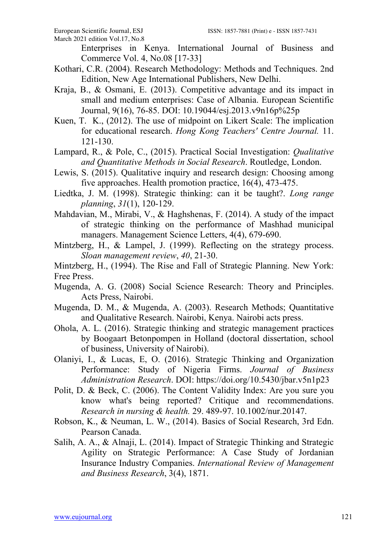Enterprises in Kenya. International Journal of Business and Commerce Vol. 4, No.08 [17-33]

- Kothari, C.R. (2004). Research Methodology: Methods and Techniques. 2nd Edition, New Age International Publishers, New Delhi.
- Kraja, B., & Osmani, E. (2013). Competitive advantage and its impact in small and medium enterprises: Case of Albania. European Scientific Journal, 9(16), 76-85. DOI: 10.19044/esj.2013.v9n16p%25p
- Kuen, T. K., (2012). The use of midpoint on Likert Scale: The implication for educational research. *Hong Kong Teachers' Centre Journal.* 11. 121-130.
- Lampard, R., & Pole, C., (2015). Practical Social Investigation: *Qualitative and Quantitative Methods in Social Research*. Routledge, London.
- Lewis, S. (2015). Qualitative inquiry and research design: Choosing among five approaches. Health promotion practice, 16(4), 473-475.
- Liedtka, J. M. (1998). Strategic thinking: can it be taught?. *Long range planning*, *31*(1), 120-129.
- Mahdavian, M., Mirabi, V., & Haghshenas, F. (2014). A study of the impact of strategic thinking on the performance of Mashhad municipal managers. Management Science Letters, 4(4), 679-690.
- Mintzberg, H., & Lampel, J. (1999). Reflecting on the strategy process. *Sloan management review*, *40*, 21-30.

Mintzberg, H., (1994). The Rise and Fall of Strategic Planning. New York: Free Press.

- Mugenda, A. G. (2008) Social Science Research: Theory and Principles. Acts Press, Nairobi.
- Mugenda, D. M., & Mugenda, A. (2003). Research Methods; Quantitative and Qualitative Research. Nairobi, Kenya. Nairobi acts press.
- Ohola, A. L. (2016). Strategic thinking and strategic management practices by Boogaart Betonpompen in Holland (doctoral dissertation, school of business, University of Nairobi).
- Olaniyi, I., & Lucas, E, O. (2016). Strategic Thinking and Organization Performance: Study of Nigeria Firms. *Journal of Business Administration Research*. DOI: https://doi.org/10.5430/jbar.v5n1p23
- Polit, D. & Beck, C. (2006). The Content Validity Index: Are you sure you know what's being reported? Critique and recommendations. *Research in nursing & health.* 29. 489-97. 10.1002/nur.20147.
- Robson, K., & Neuman, L. W., (2014). Basics of Social Research, 3rd Edn. Pearson Canada.
- Salih, A. A., & Alnaji, L. (2014). Impact of Strategic Thinking and Strategic Agility on Strategic Performance: A Case Study of Jordanian Insurance Industry Companies. *International Review of Management and Business Research*, 3(4), 1871.